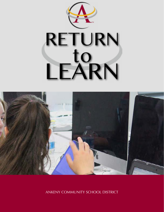



ANKENY COMMUNITY SCHOOL DISTRICT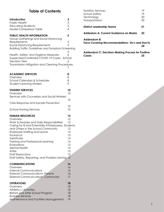#### **Table of Contents**

| Introduction<br>Public Health<br><b>Educating Students:</b><br><b>Model Comparison Table</b>                                                                                                                                                                                                                                                               | $\frac{3}{3}$<br>$\overline{\mathcal{A}}$                      |
|------------------------------------------------------------------------------------------------------------------------------------------------------------------------------------------------------------------------------------------------------------------------------------------------------------------------------------------------------------|----------------------------------------------------------------|
| <b>PUBLIC HEALTH INFORMATION</b><br>Group Gatherings and Social Distancing<br>Requirements<br>Social Distancing Requirements<br><b>Building Traffic Guidelines and Symptom Screening</b><br>Health, Safety, and Hygiene Measures<br>Suspected/Confirmed COVID-19 Cases - School<br><b>Decision Tree</b><br>Transmission Mitigation and Cleaning Procedures | 5<br>5<br>5<br>6<br>6<br>6<br>7                                |
| <b>ACADEMIC SERVICES</b>                                                                                                                                                                                                                                                                                                                                   | 8                                                              |
| Overview                                                                                                                                                                                                                                                                                                                                                   | 8                                                              |
| <b>School Calendars &amp; Schedules</b>                                                                                                                                                                                                                                                                                                                    | 8                                                              |
| <b>Student Learning Models</b>                                                                                                                                                                                                                                                                                                                             | 9                                                              |
| <b>STUDENT SERVICES</b>                                                                                                                                                                                                                                                                                                                                    | 10                                                             |
| Overview                                                                                                                                                                                                                                                                                                                                                   | 10                                                             |
| Services with Counselors and Social Workers                                                                                                                                                                                                                                                                                                                | 10                                                             |
| Crisis Response and Suicide Prevention                                                                                                                                                                                                                                                                                                                     | 10                                                             |
| <b>School Nursing Services</b>                                                                                                                                                                                                                                                                                                                             | 10                                                             |
| <b>HUMAN RESOURCES</b><br>Overview<br>Work Schedules and Daily Responsibilities<br>Caring for III and Potentially III Employees, Students,<br>and Others in the School Community<br><b>Employee Staffing and Leave</b><br>Insurance<br>Substitutes<br>Training and Professional Learning<br>Evaluations<br><b>Mental Health</b><br>Attire                  | 12<br>12<br>12<br>12<br>13<br>13<br>14<br>14<br>15<br>15<br>15 |
| <b>Staff Reductions</b>                                                                                                                                                                                                                                                                                                                                    | 15                                                             |
| Staff Safety, Reporting, and Problem Solving                                                                                                                                                                                                                                                                                                               | 15                                                             |
| <b>COMMUNICATIONS</b>                                                                                                                                                                                                                                                                                                                                      | 16                                                             |
| Overview                                                                                                                                                                                                                                                                                                                                                   | 16                                                             |
| <b>Internal Communications</b>                                                                                                                                                                                                                                                                                                                             | 16                                                             |
| <b>External Communications- Parents</b>                                                                                                                                                                                                                                                                                                                    | 16                                                             |
| <b>External Communications- Community</b>                                                                                                                                                                                                                                                                                                                  | 17                                                             |
| <b>OPERATIONS</b>                                                                                                                                                                                                                                                                                                                                          | 18                                                             |
| Overview                                                                                                                                                                                                                                                                                                                                                   | 18                                                             |
| Athletics / Activities                                                                                                                                                                                                                                                                                                                                     | 18                                                             |
| Before and After School Program                                                                                                                                                                                                                                                                                                                            | 18                                                             |
| <b>Business Services</b>                                                                                                                                                                                                                                                                                                                                   | 18                                                             |

[Maintenance and Facilities Management](#page-19-0) 19

| Nutrition Services<br>School Safety<br>Technology<br>Transportation | 19<br>19<br>20<br>20 |  |  |
|---------------------------------------------------------------------|----------------------|--|--|
| <b>District Leadership Teams</b>                                    | 21                   |  |  |
| Addedum A: Current Guidance on Masks                                | 22                   |  |  |
| Addendum B:<br>Face Covering Recommendations- Do's and Don'ts<br>24 |                      |  |  |
| Addendum C: Decision-Makina Process for Positive                    |                      |  |  |

 **[Cases 25](#page-25-0) [Addendum C: Decision-Making Process for Positive](#page-25-0)**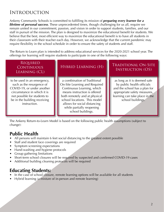# **INTRODUCTION**

Ankeny Community Schools is committed to fulfilling its mission of *preparing every learner for a lifetime of personal success*. These unprecedented times, though challenging for us all, require we remain united in our commitment, passion, and vision in order to support students, families, and our staff in pursuit of the mission. The plan is designed to maximize the educational benefit for students. We believe that the best, most efficient way to maximize the educational benefit is to have all students in their classroom with their teacher each day. However, we acknowledge that the current pandemic may require flexibility in the school schedule in order to ensure the safety of students and staff.

The Return to Learn plan is intended to address educational services for the 2020-2021 school year. The offerings for learning will require students to participate in one of the following ways:

#### **REQUIRED** CONTINUOUS Learning (CL)

to be used in an emergency, such as the resurgence of COVID-19, or under another circumstance in which it is not possible for students to be in the building receiving instruction.

a combination of Traditional On-Site Learning and Required Continuous Learning, which means instruction is offered both remotely and at physical school locations. This model allows for social distancing while partially reopening school buildings.

#### Hybrid Learning (H) Traditional On-Site Instruction (OS)

as long as it is deemed safe by public health officials and the school has a plan for appropriate safety measures, learning can take place in the school buildings.

The Ankeny Return-to-Learn Model is based on the following public health assumptions (subject to change):

## **Public Health**

- All persons will maintain 6 feet social distancing to the greatest extent possible
- Staff and student face coverings are required
- Symptom screening expectations
- Hand-washing and hygiene protocols
- Group gathering limitations
- Short-term school closures will be required by suspected and confirmed COVID-19 cases
- Additional building cleaning protocols will be required

#### **Educating Students:**

- In the case of school closure, remote learning options will be available for all students
- Hybrid learning (a mixture of in-person and remote learning)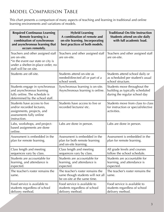# <span id="page-3-0"></span>Model Comparison Table

This chart presents a comparison of many aspects of teaching and learning in traditional and online learning environments and variations of models.

| <b>Required Continuous Learning</b><br>Remote learning is a<br>combination of synchronous<br>and asynchronous learning that<br>occurs remotely.         | <b>Hybrid Learning</b><br>A combination of remote and<br>on-site learning. Incorporating<br>best practices of both models. | <b>Traditional On-Site Instruction</b><br><b>Students attend on-site daily</b><br>with full academic load. |
|---------------------------------------------------------------------------------------------------------------------------------------------------------|----------------------------------------------------------------------------------------------------------------------------|------------------------------------------------------------------------------------------------------------|
| Teachers and other assigned staff<br>are on-site.<br>*in the event our state or city is<br>under a shelter-in-place order, no<br>staff will be on site. | Teachers and other assigned staff<br>are on-site.                                                                          | Teachers and other assigned staff<br>are on-site.                                                          |
| Students are off-site.                                                                                                                                  | Students attend on-site as<br>needed/directed all or part of a<br>school week.                                             | Students attend school daily or<br>as scheduled per student's usual<br>school structure.                   |
| Students engage in synchronous<br>and asynchronous learning<br>fully online. The schedule is<br>determined by the school staff.                         | Synchronous learning is on-site.<br>Asynchronous learning is online.                                                       | Students move throughout the<br>building as typically scheduled<br>during the regular school day           |
| Students have access to live<br>and/or recorded lectures,<br>assignments, projects, and<br>assessments fully online<br>instruction.                     | Students have access to live or<br>recorded lectures/etc.                                                                  | Students move from class to class<br>for instruction or special/elective<br>activities.                    |
| Labs, workshops, and project-<br>based assignments are done<br>online.                                                                                  | Labs are done in person.                                                                                                   | Labs are done in person.                                                                                   |
| Assessment is embedded in the<br>plan for remote learning.                                                                                              | Assessment is embedded in the<br>plan for both remote learning<br>and on-site learning.                                    | Assessment is embedded in the<br>plan for remote learning.                                                 |
| Class length and meeting<br>sequences vary by class.                                                                                                    | Class length and meeting<br>sequences vary by class.                                                                       | All grade levels and courses<br>follow the school schedule.                                                |
| Students are accountable for<br>learning, and attendance is<br>expected.                                                                                | Students are accountable for<br>learning, and attendance is<br>expected.                                                   | Students are accountable for<br>learning, and attendance is<br>expected.                                   |
| The teacher's roster remains the<br>same.                                                                                                               | The teacher's roster remains the<br>same though students will not all<br>be on-site at the same time.                      | The teacher's roster remains the<br>same.                                                                  |
| Food service is available to<br>students regardless of school<br>delivery method.                                                                       | Food service is available to<br>students regardless of school<br>delivery method.                                          | Food service is available to<br>students regardless of school<br>delivery method.                          |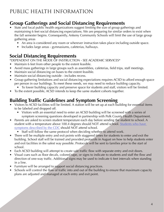# <span id="page-4-0"></span>PUBLIC HEALTH INFORMATION

### **Group Gatherings and Social Distancing Requirements**

- State and local public health organizations suggest limiting the size of group gatherings and maintaining 6 feet social distancing expectations. We are preparing for similar orders to exist when the fall semester begins. Consequently, Ankeny Community Schools will limit the use of large group gathering areas
	- An area is considered any room or wherever instruction takes place including outside space.
	- Includes large areas gymnasiums, cafeterias, hallways.

### **Social Distancing Requirements**

\*DEPENDENT ON THE MODE OF INSTRUCTION - SEE ACADEMIC SERVICES\*

- Maintain 6 feet from other people to the extent feasible.
- Avoid mass gatherings in large groups such as assemblies, cafeterias, field trips, staff meetings.
- Maintain social distancing on buses to the extent feasible.
- Maintain social distancing outside includes recess.
- Group gathering limitations and social distancing expectations requires ACSD to afford enough space per person in our buildings. To meet these needs, we may need to reduce building capacity.
	- To lower building capacity and preserve space for students and staff, visitors will be limited.
- To the extent possible, ACSD intends to keep the same student cohorts together.

#### **Building Traffic Guidelines and Symptom Screening**

- Visitors to ACSD facilities will be limited. A station will be set up at each building for essential items to be labeled and dropped off.
	- Visitors with an essential need to enter an ACSD building will be screened with a series of symptom screening questions developed in partnership with Polk County Health Department.
- Parents are asked to screen student temperature each day before sending the student to school. A student with a temperature above 100.4 degrees should NOT attend school. Students who have [symptoms described by the CDC](https://www.cdc.gov/coronavirus/2019-ncov/symptoms-testing/symptoms.html) should NOT attend school.
	- Staff will follow the same protocol when deciding whether to attend work.
- There will be multiple entry and exit points with staggered times for students to enter and exit the building. School staff will be trained and provided protocols in August on how to help students enter and exit facilities in the safest way possible. Protocols will be sent to families prior to the start of school.
- Each ACSD building will attempt to create safe traffic flow with separate entry and exit doors.
- Visual cues such as floor decals, colored tape, or signs to indicate to students and staff the flow and direction of one-way traffic. Additional signs may be used to indicate 6 feet intervals when standing in a line.
- Furniture will be arranged to support social distancing practices.
- Schools will control the flow of traffic into and out of the building to ensure that maximum capacity plans are adjusted and managed at each entry and exit point.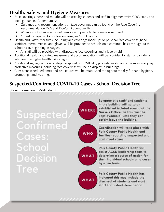### <span id="page-5-0"></span>**Health, Safety, and Hygiene Measures**

- Face coverings (nose and mouth) will be used by students and staff in alignment with CDC, state, and local guidance. (Addendum A)
	- Guidance and recommendations on face coverings can be found on the Face Covering Recommendation Do's and Don'ts. (Addendum B)
	- When a six foot interval is not feasible and predictable, a mask is required.
	- A mask is required for visitors entering an ACSD facility.
- Health and Safety measures including face coverings (back-ups to personal face coverings), hand sanitizer, thermometers, and gloves will be provided to schools on a continual basis throughout the school year, beginning in August.
	- All staff will be provided with disposable face coverings and a face shield
- Additional health and safety measures and accommodations will be provided for staff and students who are in a higher health risk category.
- Additional signage on how to stop the spread of COVID-19, properly wash hands, promote everyday protective measures including face coverings will be on display in buildings.
- Consistent scheduled times and procedures will be established throughout the day for hand hygiene, promoting hand washing.

# **Suspected/Confirmed COVID-19 Cases - School Decision Tree**

(More information in Addendum C)

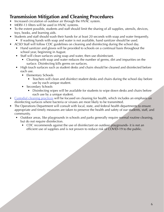#### <span id="page-6-0"></span>**Transmission Mitigation and Cleaning Procedures**

- Increased circulation of outdoor air through the HVAC system.
- MERV-13 filters will be used in HVAC systems.
- To the extent possible, students and staff should limit the sharing of all supplies, utensils, devices, toys, books, and learning aids.
- Students and staff should wash their hands for at least 20 seconds with soap and water frequently. • If washing hands with soap and water is not available, hand sanitizer should be used.
- ACSD Staff will follow CDC guidelines on cleaning and disinfecting during the school day.
	- Hand sanitizer and gloves will be provided to schools on a continual basis throughout the school year, beginning in August.
	- Staff will clean surfaces using soap and water, then use disinfectant.
		- Cleaning with soap and water reduces the number of germs, dirt and impurities on the surface. Disinfecting kills germs on surfaces.
	- High touch surfaces such as student desks and chairs should be cleaned and disinfected before each use.
		- Elementary Schools
			- Teachers will clean and disinfect student desks and chairs during the school day before use by each unique student.
		- Secondary Schools
			- Disinfecting wipes will be available for students to wipe down desks and chairs before each use by a unique student.
- [Custodial cleaning practices](https://www.cdc.gov/coronavirus/2019-ncov/community/disinfecting-building-facility.html) will be focused on cleaning for health, which includes an emphasis on disinfecting surfaces where bacteria or viruses are most likely to be transmitted.
- The Operations Department will consult with local, state, and federal health departments to ensure appropriate and timely measures are taken to preserve the health and safety of our students, staff, and community.
	- Outdoor areas, like playgrounds in schools and parks generally require normal routine cleaning, but do not require disinfection.
		- CDC recommends against the use of disinfectant on outdoor playgrounds- it is not an efficient use of supplies and is not proven to reduce risk of COVID-19 to the public.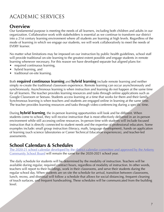# <span id="page-7-0"></span>ACADEMIC SERVICES

### **Overview**

Our fundamental purpose is meeting the needs of all learners, including both children and adults in our organization. Collaborative work with stakeholders is essential as we continue to transform our district into a 21st century learning environment where all students are learning at high levels. Regardless of the mode of learning in which we engage our students, we will work collaboratively to meet the needs of EVERY learner.

No matter what limitations may be imposed on our instruction by public health guidelines, school staff will provide traditional on-site learning to the greatest extent possible and engage students in remote learning whenever necessary. For this reason we have developed separate but aligned plans for:

- [required continuous learning](https://www.ankenyschools.org/app/uploads/2020/07/DRAFT-R2L-Required-Continuous-Learning.pdf),
- [hybrid learning](https://www.ankenyschools.org/app/uploads/2020/07/DRAFT-R2L-Hybrid-Learning.pdf), and
- [traditional on-site learning.](https://www.ankenyschools.org/app/uploads/2020/07/DRAFT-R2L-Traditional-On-Site-Instruction.pdf)

Both **required continuous learning** and **hybrid learning** include remote learning and neither simply re-create the traditional classroom experience. Remote learning can occur asynchronously and synchronously. Asynchronous learning is when instruction and learning do not happen at the same time for all learners. The teacher provides learning resources and tasks through online applications such as Google Classroom or Seesaw. Students access learning at a time that works for them and their family. Synchronous learning is when teachers and students are engaged online in learning at the same time. The teacher provides learning resources and tasks through video-conferencing during a specific time.

During **hybrid learning**, the in-person learning opportunities will look and be different. When students come to school, they will receive instruction that is most effectively delivered in an in-person environment while still accessing online resources. In-person time with students will include focused instruction that is directly connected to student needs and the expertise of professional educators. Some examples include: small group instruction (literacy, math, language development), hands on application of learning (such science laboratories or Career Technical Education experiences), and teacher-led assessments.

#### **School Calendars & Schedules**

The 2020-21 school calendar developed by the district calendar committee and approved by the Ankeny [Community School Board](https://www.ankenyschools.org/app/uploads/2020/07/20-21-Calendar-Parent-Final-7.20.20.pdf) will remain the same for the 2020-2021 school year.

The daily schedule for students will be determined by the modality of instruction. Teachers will be available during regular, required contract hours, regardless of modality of instruction. In other words, teachers will report to their buildings, work in their classrooms, and serve their students during the regular school day. When students are on site the schedule for arrival, transition between classrooms, lunch, recess, and dismissal will follow a schedule that allows for social distancing, frequent cleaning of touch surfaces, and frequent handwashing. These schedules will be communicated from the building level.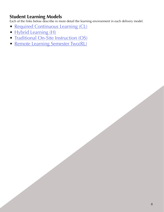#### <span id="page-8-0"></span>**Student Learning Models**

Each of the links below describe in more detail the learning environment in each delivery model.

- [Required Continuous Learning \(CL\)](https://www.ankenyschools.org/app/uploads/2020/07/R2L-Required-Continuous-Learning-1.pdf)
- [Hybrid Learning \(H\)](https://www.ankenyschools.org/app/uploads/2020/09/R2L-Hybrid-Learning.pdf)
- [Traditional On-Site Instruction \(OS\)](https://www.ankenyschools.org/app/uploads/2020/07/R2L-Traditional-On-Site-Instruction.pdf)
- [Remote Learning Semester Two\(RL\)](https://www.ankenyschools.org/app/uploads/2021/01/Remote-Learning-Semester-Two.pdf)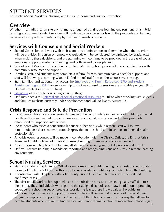# <span id="page-9-0"></span>**STUDENT SERVICES**

Counseling/Social Workers, Nursing, and Crisis Response and Suicide Prevention

### **Overview**

Whether In a traditional on-site environment, a required continuous learning environment, or a hybrid learning environment student services will continue to provide schools with the protocols and training necessary to support the mental and physical health needs of students.

# **Services with Counselors and Social Workers**

- School Counselors will work with their teams and administrators to determine when their services will be provided in-person or remotely. Caseloads will be considered (by alphabet, by grade, etc.) when making these decisions, and programming will continue to be provided in the areas of socialemotional support, academic planning, and college and career planning.
- School Social Workers will continue to collaborate with school personnel to connect families with community resources and support.
- Families, staff, and students may complete a referral form to communicate a need for support, and staff will follow up accordingly. You will find the referral form on the school's website page.
- Staff, families, and students may access the **Employee and Family Resources (EFR) and Student** [Assistance Program \(SAP\)](https://www.efr.org/) for services. Up to six free counseling sessions are available per year. (link EFR/SAP contact information here)
- [LifeWorks](https://www.lifeworksdm.com/staff_category/school-based/) offers onsite counseling services: (link)
- Staff may access this [internal site of social-emotional resources](https://sites.google.com/staff.ankenyschools.org/socialemotional-teacher-resour/home) to utilize when working with students and families (website currently under development and will go live by August 10).

### **Crisis Response and Suicide Prevention**

- For students who express concerning language or behaviors while in their school building, a mental health professional will administer an in-person suicide risk assessment and follow protocols established for in-person interactions.
- For students who express concerning language or behaviors while remote, staff will follow remote suicide risk assessment protocols (provided to all school administrators and mental health professionals).
- All crisis event responses will be made in collaboration with the District Office, the District Crisis Team, and building level administration using building or remote protocols as needed.
- An emphasis will be placed on training all staff on recognizing signs of depression and anxiety.
- Staff will receive training in mandatory reporting and recognizing signs of distress in remote learning environments.

# **School Nursing Services**

- Staff and students displaying COVID-19 symptoms in the building will go to an established isolated room (not the Nurse's Office, as this must be kept available) until they can safely leave the building.
- Coordination will take place with Polk County Public Health and families on suspected and confirmed cases.
- The district will work to hire up to eleven (11) "substitute nurses" to be strategically staffed across the district. These individuals will report to their assigned schools each day. In addition to providing coverage for school nurses on breaks and/or during leave, these individuals will provide an additional layer of medical support on campus. They will partner with the school nurses at their assigned campuses to support the medical needs of the school community in a way that allows for care for students who require routine medical assistance (administration of medication, blood sugar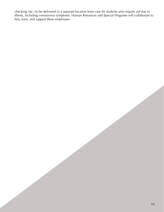<span id="page-10-0"></span>checking, etc.) to be delivered in a separate location from care for students who require aid due to illness, including coronavirus symptoms. Human Resources and Special Programs will collaborate to hire, train, and support these employees.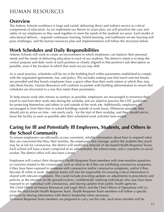# HUMAN RESOURCES

#### **Overview**

The Ankeny Schools workforce is large and varied, delivering direct and indirect service to critical components of education. As we implement our Return to Learn plan, we will prioritize the care and safety of our employees as they work together to meet the needs of the students we serve. Each model of educational delivery - required continuous learning, hybrid learning, and traditional on-site learning will pose challenges, and the human resources plan and implementation will follow the structures below.

### **Work Schedules and Daily Responsibilities**

Ankeny Schools will work to create an environment in which employees can balance their personal needs and the needs of delivering education to each of our students. The district's intent is to keep the central purpose and daily work of each position as closely aligned to that position's job description as possible, even if the location in which that work occurs may shift.

As is usual practice, schedules will be set at the building level within parameters established to comply with the negotiated agreements, law, and policy. This includes making sure that lunch and rest breaks are provided and that hourly employees have a space other than their work station at which they may take these breaks. Human Resources will continue to partner with building administrators to ensure that schedules are structured in a way that meets these parameters.

To help ensure work sites remain as sanitary as possible, employees are encouraged to minimize their travel to and from their work sites during the workday and are asked to practice the CDC guidelines for protecting themselves and others in and outside of the work site. Additionally, employees are encouraged to limit their time in school buildings outside of work hours. Whenever possible, they should aim to arrive on time - not overly early - for the start of their workday, and they should aim to leave the facility as soon as possible after their scheduled work activities have ended.

#### **Caring for Ill and Potentially Ill Employees, Students, and Others in the School Community**

To ensure employees can efficiently access consistent, reliable information about how to respond when they are concerned that they, their families, the employees they manage, and/or the students they teach may be at risk for coronavirus, the district will establish a network of site-based Health Response Teams. Each school will have a team comprised of an administrator, the school nurse, and a counselor or social worker. The district office will also have a team.

Employees will contact their designated Health Response Team members with time-sensitive questions or concerns related to the coronavirus, such as what to do if they are exhibiting coronavirus symptoms, if they have been exposed to someone with coronavirus and/or coronavirus symptoms, and/or if they become ill while at work. Response teams will also be responsible for ensuring critical information is shared with relevant employees. This could include providing updates on adjustments to procedures and policies as the situation on the ground evolves, confidentially notifying individuals who may have been exposed to an individual with coronavirus, and sharing updates from public health agencies. The Chief Officer of Human Resources and Legal Affairs and the Chief Officer of Operations will cochair the districtwide Health Response Team. Health Response Team members will follow a specific protocol for sharing information with district leadership when necessary.

To ensure Response Team members are prepared to carry out this role, each team member will be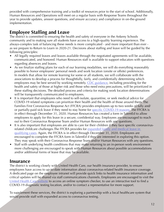<span id="page-12-0"></span>provided with comprehensive training and a toolkit of resources prior to the start of school. Additionally, Human Resources and Operations will meet on a regular basis with Response Teams throughout the year to provide updates, answer questions, and ensure accuracy and compliance in on-the-ground implementation.

#### **Employee Staffing and Leave**

The district is committed to ensuring the health and safety of everyone in the Ankeny Schools community and to making sure all students have access to a high-quality learning experience. The always-complex task of balancing these needs is more complicated - and more important than ever as we prepare to Return to Learn in 2020-21. Decisions about staffing and leave will be guided by the following principles:

- All legally required leaves and leaves available through the negotiated agreements will be available, communicated, and honored. Human Resources staff is available to support educators with questions regarding absences and leaves.
- As we finalize staffing plans for each of our learning modalities, we will do everything reasonably possible to honor employees' personal needs and work location (onsite or offsite) preferences. In models that allow for remote learning for some or all students, we will collaborate with the associations to develop a process for thoughtfully, fairly, and confidentially determining which employees may be best served by working remotely. [CDC guidance,](https://www.cdc.gov/coronavirus/2019-ncov/need-extra-precautions/index.html) including providing for the health and safety of those at higher risk and those who need extra precautions, will be prioritized in these staffing decisions. The detailed process and criteria for making work location determinations will be transparently communicated to employees.
- It is important that employees who need to self-isolate, quarantine, or seek medical advice for COVID-19 related symptoms can prioritize their health and the health of those around them. The Families First Coronavirus Response Act (FFCRA) provides employees up to two weeks of fully and/ or partially-paid sick leave if they need to stay home for [specific COVID-19 reasons](https://www.dol.gov/sites/dolgov/files/WHD/posters/FFCRA_Poster_WH1422_Non-Federal.pdf). The FFCRA is in effect through December 31, 2020. Human Resources has created a form in TalentEd to allow employees to apply for this leave in a secure, confidential way. Employees are encouraged to reach out to their Coronavirus Response Team and/or Human Resources with any questions.
- It is also important that employees are able to care for their children if they face specific coronavirusrelated childcare challenges. The FFCRA provides for expanded family and medical leave in [qualifying cases](https://www.dol.gov/sites/dolgov/files/WHD/posters/FFCRA_Poster_WH1422_Non-Federal.pdf). Again, the FFCRA is in effect through December 31, 2020. Employees are encouraged to complete the FFCRA form in TalentEd if they are interested in exploring this option. They may speak with their Coronavirus Response Team and/or Human Resources with any questions.
- Staff with underlying health conditions that may make returning to an in-person work environment more challenging are encouraged to speak with Human Resources about possible accommodations and/or additional forms of leave that may be available.

#### **Insurance**

The district is working closely with United Health Care, our health insurance provider, to ensure employees have access to up-to-date information about coronavirus-related health insurance coverage. A dedicated page on the employee intranet will provide quick links to health insurance information and critical updates will be shared via staff communications channels. Employees are encouraged to visit the [United Health Care website](https://www.myuhc.com/) to access an online symptom checker, to use an interactive tool to find a COVID-19 diagnostic testing location, and/or to contact a representative for more support.

To supplement these services, the district is exploring a partnership with a local healthcare system that would provide staff with expanded access to coronavirus testing.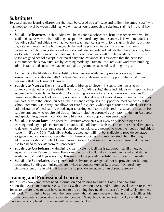### <span id="page-13-0"></span>**Substitutes**

To guard against learning disruptions that may be caused by staff leave and to limit the amount staff who may need to travel between buildings, we will adjust our approach to substitute staffing in several key ways:

**• Substitute Teachers**: Each building will be assigned a cohort of substitute teachers who will be available exclusively to that building except in extraordinary circumstances. This will include 2-5 "building subs," individuals with active Iowa teaching licenses who, for a slightly higher substitute pay rate, will report to the building each day and be prepared to teach any class that needs coverage. Each building's dedicated sub pool will also include individuals that the school may hire for long-term or daily substitute assignments. These individuals will also be available exclusively to the assigned school except in extraordinary circumstances. It is expected that the need for substitute teachers may fluctuate by learning modality; Human Resources will work with building administrators and substitute teachers to make adjustments, as needed, during the year.

To maximize the likelihood that substitute teachers are available to provide coverage, Human Resources will collaborate with Academic Services to determine what opportunities exist to reimagine offsite professional learning.

- **Substitute Nurses:** The district will work to hire up to eleven (11) substitute nurses to be strategically staffed across the district. Similar to "building subs," these individuals will report to their assigned schools each day. In addition to providing coverage for school nurses on breaks and/or during leave, these individuals will provide an additional layer of medical support on campus. They will partner with the school nurses at their assigned campuses to support the medical needs of the school community in a way that allows for care for students who require routine medical assistance (administration of medication, blood sugar checking, etc.) to be delivered in a separate location from care for students who require aid due to illness, including coronavirus symptoms. Human Resources and Special Programs will collaborate to hire, train, and support these employees.
- **Substitute Associates**: The need for substitute associates will likely vary depending on the learning modality in place. Human Resources will collaborate with the Director of Special Programs to determine when substitute special education associates are needed to meet the needs of individual students' IEPs and 504s. Typically, substitute associates will not be available to provide coverage for general education associates other than those associates who monitor study hall. Building administrators should contact Human Resources if extraordinary circumstances arise that may give rise to a need to deviate from this procedure.
- **Substitute Custodians:** Maintaining clean, hygienic facilities is paramount at all times, but especially as we Return to Learn. Therefore, the district will make sure sufficient custodial staff is available to all buildings every day. This may include providing substitute custodians, if needed.
- **Substitute Secretaries**: As a general rule, substitute coverage will not be provided for building secretaries. Building administrators are invited to contact Human Resources if extraordinary circumstances arise in which it is essential to provide coverage for an absent secretary.

## **Training and Professional Learning**

The district knows employees need information and training to carry out new and changing responsibilities. Human Resources will work with Operations, AST, and building-level Health Response Teams to ensure relevant staff have access to the training they need to successfully and safely complete their work. This training began with the requirement that all employees working in district facilities this summer complete a coronavirus prevention course in SafeSchools. As we Return to Learn, all staff who have not yet completed this course will be required to do so. 13 April 2014 13 April 2014 13 April 2014 13 Apr<br>13 April 2014 13 April 2014 13 April 2015 13 April 2014 13 April 2015 13 April 2014 13 April 2016 13 April 201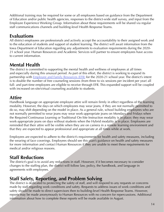<span id="page-14-0"></span>Additional training may be required for some or all employees based on guidance from the Department of Education and/or public health agencies, responses to the district-wide staff survey, and input from the Employee Experience Working Group. Information about these requirements will be shared via regular staff communications channels and building-level Health Response Teams.

### **Evaluations**

All district employees are professionals and actively accept the accountability to their assigned work and to the education of students and support of student learning. The district will await information from the Iowa Department of Education regarding any adjustments to evaluation requirements during the 2020- 21 school year. Human Resources and Academic Services will partner to ensure employees have access to current information.

# **Mental Health**

The district is committed to supporting the mental health and wellness of employees at all times and especially during this unusual period. As part of this effort, the district is working to expand its partnership with [Employee and Family Resources \(EFR\)](https://www.efr.org/) for the 2020-21 school year. The district's intent is to double the number of free counseling sessions (from three to six sessions per incident per year) all full- and part-time employees are eligible to receive through EFR. This expanded support will be coupled with increased on-site/virtual counseling available to students.

### **Attire**

Handbook language on appropriate employee attire will remain firmly in effect regardless of the learning modality. However, the days on which employees may wear jeans, if they are not normally permitted to do so, may shift depending on the model in place. As a general rule, school building employees who are not normally permitted to wear jeans may wear work-appropriate jeans on Mondays and Fridays when the Required Continuous Learning or Traditional On-Site Instruction modality is in place; they may wear work-appropriate jeans on days without students when the Hybrid modality is in place. Employees are reminded that their attire will be visible when they are on camera in a remote learning environment and that they are expected to appear professional and appropriate at all times while at work.

Employees are expected to adhere to the district's requirements for health and safety measures, including the wearing of face coverings. Employees should see this plan's guidance on health and safety measures for more information and contact Human Resources if they are unable to meet these requirements for medical and/or religious reasons.

## **Staff Reductions**

The district's goal is to avoid any reductions in staff. However, if it becomes necessary to consider changes to the staffing plan, the district will follow law, policy, the handbook, and language in agreements with employees.

### **Staff Safety, Reporting, and Problem Solving**

The district is dedicated to protecting the safety of staff, and will respond to any requests or concerns made by staff regarding work conditions and safety. Requests to address issues of work conditions and safety should be made to direct supervisors then to building-level Health Response Teams. However, reports may be made anonymously to Human Resources with no concern for repercussions. Additional information about how to complete these reports will be made available in August.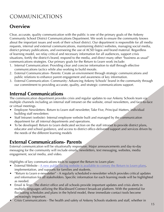# <span id="page-15-0"></span>COMMUNICATIONS

# **Overview**

Clear, accurate, quality communication with the public is one of the primary goals of the Ankeny Community School District Communications Department. We work to ensure the community knows about the important issues and work of their school district. Our department is responsible for all media requests, internal and external communications, maintaining district websites, managing social media, district primary publications, and overseeing the use of ACSD logos and brand material. Regardless of learning model, we relay critical and necessary information for all audiences, support crisis situations, fortify the district's brand, respond to the media, and direct many other "business as usual" communications strategies. Our primary goals for the Return to Learn work include:

- 1. Internal Communication: Providing clear and concise information to staff through effective communications tactics while also working to build morale.
- 2. External Communication- Parents: Create an environment through strategic communications and public relations to enhance parent engagement and awareness of key information.
- 3. External Communication- Community: Advancing Ankeny Schools' brand in the community through our commitment to providing accurate, quality, and strategic communications support.

#### **Internal Communications**

The communication department provides crisis and regular updates to our Ankeny Schools team via multiple channels including an internal staff intranet on the website, email newsletters, and face-to-face or virtual meetings.

- Employee Newsletters- Return to Learn staff newsletter, Take Five, Principal Matters, individual building staff newsletters
- Staff Intranet (website)- Internal employee website built and managed by the communication department for all internal departments and operations.
- To be developed: Return to Learn dedicated section on the staff intranet to provide district plans, educator and school guidance, and access to district office-delivered support and services driven by the needs of the different learning models

### **External Communications- Parents**

External communication will be situationally responsive. Major announcements and day-to-day messaging for the community will include emails, newsletters, text messaging, websites, media engagement, social media, and video.

Highlights of key communications tools to support the Return to Learn plan:

- External Website  $\underline{A}$  new public-facing website is available to convey the Return to Learn plans, implementation, and supports for families and students.
- "Return to Learn e-newsletter" A regularly scheduled e-newsletter which provides critical updates and information for all stakeholders. Specific information for each learning mode will be highlighted as needed.
- Email & Text The district office and all schools provide important updates and crisis alerts in multiple languages utilizing the Blackboard Connect broadcast platform. With the potential for fluctuating schedules and plans in the hybrid model, these immediate contact tools become increasingly important.
- Crisis Communications The health and safety of Ankeny Schools students and staff, whether in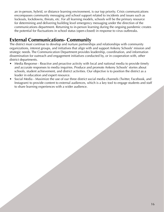<span id="page-16-0"></span>an in-person, hybrid, or distance learning environment, is our top priority. Crisis communications encompasses community messaging and school support related to incidents and issues such as lockouts, lockdowns, threats, etc. For all learning models, schools will be the primary resource for determining and delivering building level emergency messaging under the direction of the communications department. Returning to in-person learning during the ongoing pandemic creates the potential for fluctuations in school status (open-closed) in response to virus outbreaks.

## **External Communications- Community**

The district must continue to develop and nurture partnerships and relationships with community organizations, interest groups, and initiatives that align with and support Ankeny Schools' mission and strategic needs. The Communication Department provides leadership, coordination, and information dissemination for outreach and engagement initiatives conducted by, or in cooperation with, other district departments.

- Media Response Reactive and proactive activity with local and national media to provide timely and accurate responses to media inquiries. Produce and promote Ankeny Schools' stories about schools, student achievement, and district activities. Our objective is to position the district as a leader in education and expert resource.
- Social Media Maximize the use of our three district social media channels (Twitter, Facebook, and Instagram) to provide content to external audiences, which is a key tool to engage students and staff to share learning experiences with a wider audience.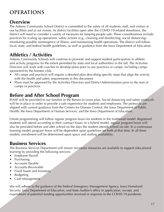# <span id="page-17-0"></span>**OPERATIONS**

### **Overview**

The Ankeny Community School District is committed to the safety of all students, staff, and visitors at our facilities and at our events. As district facilities open after the COVID-19-related slowdown, the district will need to consider a variety of measures for keeping people safe. These considerations include practices for scaling up operations, safety actions (e.g., cleaning and disinfecting, social distancing), monitoring possible reemergence of illness, and maintaining health operations. The district will follow local, state, and federal health guidelines, as well as guidance from the Iowa Department of Education.

# **Athletics / Activities**

Ankeny Community Schools will continue to promote and support student participation in athletic and activity programs (to the extent permitted by state and local authorities) in the fall. The Activities Directors will work with coaches to develop plans prior to any practices or camps, including camps sponsored by the booster club.

- All camps and practices will require a detailed plan describing specific steps that align the activity with the health and safety requirements in this document
- Plans must be approved by the Activities Directors and District Administration prior to the start of camps or practices

### **Before and After School Program**

B/ASP will be provided to our families in the Return to Learn plan. Social distancing and safety protocols will be in place in order to provide a safe experience for students and employees. The protocols are aligned with current guidance from the Centers for Disease Control, the Iowa Department of Public Health, the Iowa Department of Human Services, and the Iowa Department of Education.

Onsite programming will follow regular program hours for students in the traditional model. Registered students will attend according to their contract hours. In a hybrid model, regular program hours will also be provided before and after school on the days the student attends school on-site. In a continuous learning model, program hours will be dependent upon guidelines set forth at that time. In all three models, enrollment will be determined upon space and staffing availability.

# **Business Services**

The Business Services Department will ensure necessary resources are available to support educational learning by providing the following services:

- Employee Payroll
- Purchasing
- Accounts Payable
- Accounts Receivable
- Fixed Assets and Inventory
- Budgeting
- Cash Management

We will adhere to the guidance of the Federal Emergency Management Agency, Iowa Homeland Security, Iowa Department of Education, and State Auditor's office in application, receipt, and expenditure of potential funding opportunities received in response to the COVID-19 pandemic.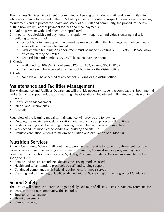<span id="page-18-0"></span>The Business Services Department is committed to keeping our students, staff, and community safe while we continue to respond to the COVID-19 pandemic. In order to respect current social distancing requirements and to protect the health and safety of our staff and community, the procedures below outline how we will accept payment for fees and meal payments:

- 1. Online payment with credit/debit card (preferred)
- 2. In person credit/debit card payments this option will require all individuals entering a district building to wear a mask.
	- School building: An appointment must be made by calling that building's main office. Please know office hours may be limited.
	- District office building: An appointment must be made by calling 515-965-9600. Please know office hours may be limited.
	- Credit/debit card numbers CANNOT be taken over the phone.

#### 3. Check

- Mail check to 306 SW School Street, PO Box 189, Ankeny 50021-0189
- No checks will be accepted at any school building or the district office

#### 4. Cash

• No cash will be accepted at any school building or the district office

#### **Maintenance and Facilities Management**

The Maintenance and Facilities Department will provide necessary student accomodations, both internal and external, to support educational learning. The Operations Department will maintain all its working divisions:

- Construction Management
- Interior and Exterior sites
- Custodial

Regardless of the learning modality, maintenance will provide the following:

- Ongoing site repair, remodel, renovation, and reconstruction projects will continue.
- Facility cleaning and disinfecting following use will be completed and monitored.
- Work schedules modified depending on building and site use.
- Evaluate ventilation systems to maximize filtration and circulation of outdoor air.

#### **Nutrition Services**

Ankeny Community Schools will continue to provide meal service to students to the extent possible given on-site and remote learning environments. Therefore, the meal service program may be a combination of in-school serving and a "grab & go" program similar to the one implemented in the spring of 2020.

- Remote and on-site attendance dictates the serving model(s) used
- Health and safety standard protocols by staff and serving support
- Continued compliance with Federal requirements for meals served
- Cleaning and disinfecting of facilities aligned with CDC cleaning/disinfecting School Guidance

### **School Safety**

The district will continue to provide ongoing daily coverage of all sites to ensure safe environments for students, staff, and our community. This includes:

- Emergency management
- Threat assessment
- Campus security 18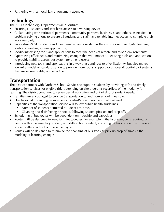<span id="page-19-0"></span>• Partnering with all local law enforcement agencies

# **Technology**

The ACSD Technology Department will prioritize:

- Ensuring all students and staff have access to a working device;
- Collaborating with various departments, community partners, businesses, and others, as needed, in problem-solving efforts to ensure all students and staff have reliable internet access to complete their work remotely;
- Supporting ACSD students and their families, and our staff as they utilize our core digital learning tools and existing system applications;
- Modifying existing tools and applications to meet the needs of remote and hybrid environments;
- Optimizing efficiencies and minimizing changes that will impact our existing tools and applications to provide stability across our system for all end users;
- Introducing new tools and applications in a way that continues to offer flexibility, but also moves toward a model of standardization to provide more robust support for an overall portfolio of systems that are secure, stable, and effective.

# **Transportation**

The district partners with Durham School Services to support students by providing safe and timely transportation services for eligible riders attending on-site programs regardless of the modality for learning. The district continues to serve special education and out-of-district student needs.

- Families are encouraged to provide transportation to and from school if feasible.
- Due to social distancing requirements, Pay-to-Ride will not be initially offered.
- Capacities of the transportation service will follow public health guidelines:
	- Number of students permitted to ride at any time.
	- Cleaning and disinfecting protocols following student pick up and drop offs.
- Scheduling of bus routes will be dependent on ridership and capacities.
- Routes will be designed to keep families together. For example, if the hybrid mode is required, a family with an elementary student, a middle school student, and a high school student will have all students attend school on the same day(s).
- Routes will be designed to minimize the changing of bus stops or pick up/drop off times if the modality of learning changes.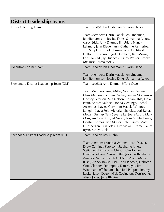<span id="page-20-0"></span>

| <b>District Leadership Teams</b>          |                                                                                                                                                                                                                                                                                                                                                                                                                                                                                                                                        |  |
|-------------------------------------------|----------------------------------------------------------------------------------------------------------------------------------------------------------------------------------------------------------------------------------------------------------------------------------------------------------------------------------------------------------------------------------------------------------------------------------------------------------------------------------------------------------------------------------------|--|
| <b>District Steering Team</b>             | Team Lead(s): Jen Lindaman & Darin Haack                                                                                                                                                                                                                                                                                                                                                                                                                                                                                               |  |
|                                           | Team Members: Darin Haack, Jen Lindaman,<br>Jennifer Jamison, Jessica Dirks, Samantha Aukes,<br>Carol Eddy, Amy Dittmar, Jill Urich, Nancy<br>Lehman, Jenn Riedemann, Catherine Parmerlee,<br>Tim Simpkins, Brad Johnson, Scott Litchfield,<br>Dallon Christensen, Jodie Graham, Ken Morris,<br>Lori Lovstad, Jay Hudecek, Cindy Presler, Brooke<br>McHose, Teresa Stoelk                                                                                                                                                              |  |
| <b>Executive Cabinet Team</b>             | Team Lead(s): Jen Lindaman & Darin Haack                                                                                                                                                                                                                                                                                                                                                                                                                                                                                               |  |
|                                           | Team Members: Darin Haack, Jen Lindaman,<br>Jennifer Jamison, Jessica Dirks, Samantha Aukes                                                                                                                                                                                                                                                                                                                                                                                                                                            |  |
| Elementary District Leadership Team (DLT) | Team Lead(s): Amy Dittmar & Tara Owen                                                                                                                                                                                                                                                                                                                                                                                                                                                                                                  |  |
|                                           | Team Members: Amy Miller, Morgan Carswell,<br>Chris Mathews, Kristen Recher, Amber Mortenson,<br>Lindsey Petersen, Mia Nelson, Brittany Ihle, Licia<br>Pettit, Andrea Valdez, Donita Geetings, Rachel<br>Ausenhus, Kaylee Cory, Kim Haack, Whitney<br>Longtin, Kayla Feld, Victoria Nicholas, Lori Reha,<br>Megan Dunlap, Tera Severseike, Joel Martin, Mark<br>Moss, Andrew Burg, Al Neppl, Tom Muhlenbruck,<br>Crystal Thomas, Ben Muller, Kate Cisney, Matt<br>Dunsbergen, Erin Adair, Kim Sidwell Frame, Laura<br>Ryan, Molly Buck |  |
| Secondary District Leadership Team (DLT)  | Team Lead(s): Bev Kuehn                                                                                                                                                                                                                                                                                                                                                                                                                                                                                                                |  |
|                                           | Team Members: Andrea Warner, Kristi Deaver,<br>Drew Cumings-Peterson, Stephanie Jones,<br>Steffanie Elkin, Kristin Chipps, Carol Yager,<br>Heather Telleen, Aaron Puffer, Jason Rottinghaus,<br>Amanda Neitzel, Sarah Gubbels, Alicia Mateer<br>(Lish), Nancy Bakke, Lisa Cook-Piccolo, Deborah<br>Cote-Glander, Pete Apple, Dan Meyer, Jim<br>Wichman, Jeff Schumacher, Joel Poppen, Jeremy<br>Lapka, Jason Dagel, Nick Covington, Don Young,<br>Alissa Jones, Julie Blevins                                                          |  |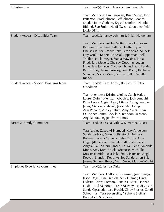<span id="page-21-0"></span>

| Infrastructure                            | Team Lead(s): Darin Haack & Ben Huebsch                                                                                                                                                                                                                                                                                                                                                                                                                       |
|-------------------------------------------|---------------------------------------------------------------------------------------------------------------------------------------------------------------------------------------------------------------------------------------------------------------------------------------------------------------------------------------------------------------------------------------------------------------------------------------------------------------|
|                                           | Team Members: Tim Simpkins, Brian Sharp, John<br>Patterson, Brad Johnson, Jeff Johnson, Mandy<br>Snyder, Jodie Graham, Krystal Stanford, Nicole<br>Ritland, Sue Smith, Heidi Zwick, Scott Litchfield,<br>Jessie Dirks                                                                                                                                                                                                                                         |
| <b>Student Access - Disabilities Team</b> | Team Lead(s): Nancy Lehman & Nikki Heideman                                                                                                                                                                                                                                                                                                                                                                                                                   |
|                                           | Team Members: Ashley Seiffert, Taya Donovan,<br>Barbara Rohn, Jane Phillips, Heather Lynam,<br>Chelsea Rutter, Brooke Tatz, Sarah Saladino, Niki<br>Day, Mollie Kenne, Chrystal Opperman, Kelli<br>Theilen, Nicki Meyer, Stacia Hawkins, Tania<br>Fried, Tara Meyers, Chelsey Gooding, Logan<br>Little, Tess Johnson, Cortney Hyland, Sara Fender,<br>Kari Conley, Jenna Pressley, Amy Kolln, Rachelle<br>Spencer, Nicole Wee, Audrey Bell, Danette<br>Rieper |
| Student Access - Special Programs Team    | Team Lead(s): Carol Eddy, Jill Urich, & Kelsie<br>Goodman                                                                                                                                                                                                                                                                                                                                                                                                     |
|                                           | Team Members: Kristina Moller, Caleb Hales,<br>Laurel Quinn, Melissa Iliobachie, Josh Lundahl,<br>Katie Lacey, Angie Hood, Tiffany Romig, Jennifer<br>Janes, Mallory Zielinski, Jason Steinkamp,<br>Arin Renaud, Ashley Tatum, Amy Akers, Erryn<br>O'Conner, Tammi McClain, Brandon Hargens,<br>Angela Luttenegger, Emily James                                                                                                                               |
| Parent & Family Committee                 | Team Lead(s): Jessica Dirks & Samantha Aukes                                                                                                                                                                                                                                                                                                                                                                                                                  |
|                                           | Tara Abbitt, Zakee Al-Hameed, Katy Anderson,<br>Sarah Barthole, Saundra Bickford, Deshara<br>Bohana, Lorena Camero, Betsy Cibula, Amy<br>Gage, Jill George, Julie Gledhill, Karly Good,<br>Angela Hall, Valerie Jansen, Laura Luetje, Amanda<br>Kinna, Amy Kort, Brooke McHose, Michelle<br>Messerschmidt, Luka Pelz, Emily Peterson, Angie<br>Reeves, Brandon Repp, Ashley Sanders, Jen Sill,<br>Jeanne Skinner-Thebo, Marti Skow, Marnae Wright             |
| Employee Experience Committee             | Team Lead(s): Jessica Dirks                                                                                                                                                                                                                                                                                                                                                                                                                                   |
|                                           | Team Members: Dallon Christensen, Jim Cowger,<br>Jason Dagel, Lisa Daniels, Amy Dittmar, Cindy<br>Dykstra, Misty Eiteman, Renata Eustice, Hannah<br>Leidal, Paul Mahoney, Sarah Murphy, Heidi Olson,<br>Sandy Opstvedt, Jesse Proehl, Cindy Presler, Candi<br>Scheurman, Tera Severseike, Michelle Siefkas,<br>Roni Stout, Sue Tarasi                                                                                                                         |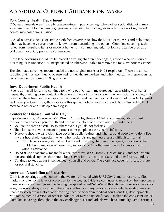### <span id="page-22-0"></span>**Addedum A: Current Guidance on Masks**

#### **Polk County Health Department**

CDC recommends wearing cloth face coverings in public settings where other social distancing measures are difficult to maintain (e.g., grocery stores and pharmacies), especially in areas of significant community-based transmission.

CDC also advises the use of simple cloth face coverings to slow the spread of the virus and help people who may have the virus and do not know it from transmitting it to others. Cloth face coverings fashioned from household items or made at home from common materials at low cost can be used as an additional, voluntary public health measure.

Cloth face coverings should not be placed on young children under age 2, anyone who has trouble breathing, or is unconscious, incapacitated or otherwise unable to remove the mask without assistance.

The cloth face coverings recommended are not surgical masks or N-95 respirators. Those are critical supplies that must continue to be reserved for healthcare workers and other medical first responders, as recommended by current CDC guidance.

#### **Iowa Department Public Health**

"We're asking all Iowans to continue following public health measures such as washing your hands frequently, avoiding close contact with others and wearing a face covering when social distancing isn't possible. These tried and true measures really work, and we need you to do your part to protect yourself and those you love from getting sick over this special holiday weekend," said Dr. Caitlin Pedati, IDPH medical director and state epidemiologist.

#### **Centers for Disease Control (CDC)**

<https://www.cdc.gov/coronavirus/2019-ncov/prevent-getting-sick/cloth-face-cover-guidance.html> Everyone should cover your mouth and nose with a cloth face cover when around others

- You could spread COVID-19 to others even if you do not feel sick.
- The cloth face cover is meant to protect other people in case you are infected.
- Everyone should wear a cloth face cover in public settings and when around people who don't live in your household, especially when other social distancing measures are difficult to maintain.
	- Cloth face coverings should not be placed on young children under age 2, anyone who has trouble breathing, or is unconscious, incapacitated or otherwise unable to remove the mask without assistance.
- Do NOT use a facemask meant for a healthcare worker. Currently, surgical masks and N95 respirators are critical supplies that should be reserved for healthcare workers and other first responders.
- Continue to keep about 6 feet between yourself and others. The cloth face cover is not a substitute for social distancing.

#### **American Association of Pediatrics**

Cloth face coverings protect others if the wearer is infected with SARS CoV-2 and is not aware. Cloth masks may offer some level of protection for the wearer. Evidence continues to mount on the importance of universal face coverings in interrupting the spread of SARS-CoV-2. Although ideal, universal face covering use is not always possible in the school setting for many reasons. Some students, or staff, may be unable to safely wear a cloth face covering because of certain medical conditions (eg, developmental, respiratory, tactile aversion, or other conditions) or may be uncomfortable, making the consistent use of cloth face coverings throughout the day challenging. For individuals who have difficulty with wearing a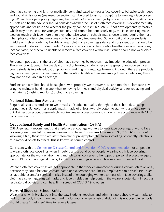cloth face covering and it is not medically contraindicated to wear a face covering, behavior techniques and social skills stories (see resource section) can be used to assist in adapting to wearing a face covering. When developing policy regarding the use of cloth face coverings by students or school staff, school districts and health advisors should consider whether the use of cloth face coverings is developmentally appropriate and feasible and whether the policy can be instituted safely. If not developmentally feasible, which may be the case for younger students, and cannot be done safely (e.g., the face covering makes wearers touch their face more than they otherwise would), schools may choose to not require their use when physical distancing measures can be effectively implemented. School staff and older students (middle or high school) may be able to wear cloth face coverings safely and consistently and should be encouraged to do so. Children under 2 years and anyone who has trouble breathing or is unconscious, incapacitated, or otherwise unable to remove a face covering without assistance should not wear cloth face coverings.

For certain populations, the use of cloth face coverings by teachers may impede the education process. These include students who are deaf or hard of hearing, students receiving speech/language services, young students in early education programs, and English-language learners. Although there are products (eg, face coverings with clear panels in the front) to facilitate their use among these populations, these may not be available in all settings.

Students and families should be taught how to properly wear (cover nose and mouth) a cloth face covering, to maintain hand hygiene when removing for meals and physical activity, and for replacing and maintaining (washing regularly) a cloth face covering.

#### **National Education Association**

Require all staff and students to wear masks of sufficient quality throughout the school day, except during meals. Schools must supply masks made of at least two-ply cotton to staff who are not carrying out disinfection procedures—which require greater protection—and students, in accordance with CDC recommendations.

#### **Occupational Safety and Health Administration (OSHA)**

OSHA generally recommends that employers encourage workers to wear face coverings at work. Face coverings are intended to prevent wearers who have Coronavirus Disease 2019 (COVID-19) without knowing it (i.e., those who are asymptomatic or pre-symptomatic) from spreading potentially infectious respiratory droplets to others. This is known as source control.

Consistent with the [Centers for Disease Control and Prevention \(CDC\) recommendation](https://www.cdc.gov/coronavirus/2019-ncov/prevent-getting-sick/cloth-face-cover-guidance.html?CDC_AA_refVal=https%3A%2F%2Fwww.cdc.gov%2Fcoronavirus%2F2019-ncov%2Fprevent-getting-sick%2Fcloth-face-cover.html) for all people to wear cloth face coverings when in public and around other people, wearing cloth face coverings, if appropriate for the work environment and job tasks, conserves other types of personal protective equipment (PPE), such as surgical masks, for healthcare settings where such equipment is needed most.

Where cloth face coverings are not appropriate in the work environment or during certain job tasks (e.g., because they could become contaminated or exacerbate heat illness), employers can provide PPE, such as face shields and/or surgical masks, instead of encouraging workers to wear cloth face coverings. Like cloth face coverings, surgical masks and face shields can help contain the wearer's potentially infectious respiratory droplets and can help limit spread of COVID-19 to others.

#### **Harvard Study on School Safety**

Wear masks, with breaks built into the day. Students, teachers and administrators should wear masks to and from school, in common areas and in classrooms when physical distancing is not possible. Schools should create "mask-free" time to reduce fatigue. 23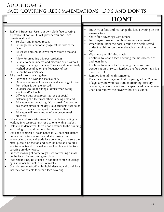#### <span id="page-24-0"></span>Addendum B: Face Covering Recommendations- Do's and Don'ts

# **DON'T**

- Staff and Students: Use your own cloth face covering, if possible. If not, ACSD will provide you one. Face coverings should:
	- Be clean and in good repair.
	- Fit snugly, but comfortably against the side of the face.
	- Be secure and should cover the wearer's nose and mouth
	- Allow for breathing without restriction
	- Be able to be laundered and machine dried without damage or change to shape. They should be routinely washed depending on the frequency of use.
	- Be on the wearer's face.
- Take breaks from wearing them:
	- Off when in a working space alone.
	- Off when eating as long as social distancing of 6 feet from others is being enforced.
	- Students should be sitting at desks when eating snacks and/or lunch.
	- Off when outside at recess as long as social distancing of 6 feet from others is being enforced.
	- Educators consider taking "Mask breaks" at certain, designated times of the days. Take students outside or remain in seats 6 feet apart from each other.
	- Educators will teach and reinforce proper mask practices.
- Educators and associates wear them while instructing or working in close proximity (one-to-one) with a student.
- Staff and students wear them upon entrance to the building and during passing times in hallways.
- Use hand sanitizer or wash hands for 20 seconds, before putting on the face covering and after taking it off.
- When using a medical grade face covering, make sure the metal piece is on the top and over the nose and coloredside faces outward. This will ensure the pleats of the face covering are downward.
- Practice masking at home to get used to wearing a mask on the face prior to coming to school.
- Face-Shields may be utilized in addition to face coverings by instructors, but not in lieu of masks.
- Consider students/staff with disabilities/medical conditions that may not be able to wear a face covering.
- Touch your face and rearrange the face covering on the wearer's face.
- Share face coverings with others.
- Touch eyes, nose or mouth when removing mask.
- Wear them under the nose, around the neck, rested under the chin or on the forehead or hanging off one ear.
- Wear loose or ill-fitting masks.
- Continue to wear a face covering that has holes, rips and tears in it.
- Continue to wear a face covering that is wet from condensation or sweat. Replace the face covering if it is damp or wet.
- Remove it to talk with someone.
- Place face coverings on children younger than 2 years of age, anyone who has trouble breathing, sensory concerns, or is unconscious, incapacitated or otherwise unable to remove the cover without assistance.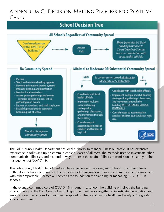### <span id="page-25-0"></span>Addendum C: Decision-Making Process for Positive CASES



The Polk County Health Department has local authority to manage illness outbreaks. It has extensive experience in following up on communicable diseases of all sorts. The methods used to investigate other communicable illnesses and respond in ways to break the chain of illness transmission also apply to the management of COVID-19.

The Polk County Health Department also has experience in working with schools to address illness outbreaks in school communities. The principles of managing outbreaks of communicable diseases used with other reportable illnesses will serve as the foundation for planning for managing COVID-19 in schools.

In the event a confirmed case of COVID-19 is found in a school, the building principal, the building school nurse and the Polk County Health Department will work together to investigate the situation and employ corrective actions to minimize the spread of illness and restore health and safety to the greater school community.